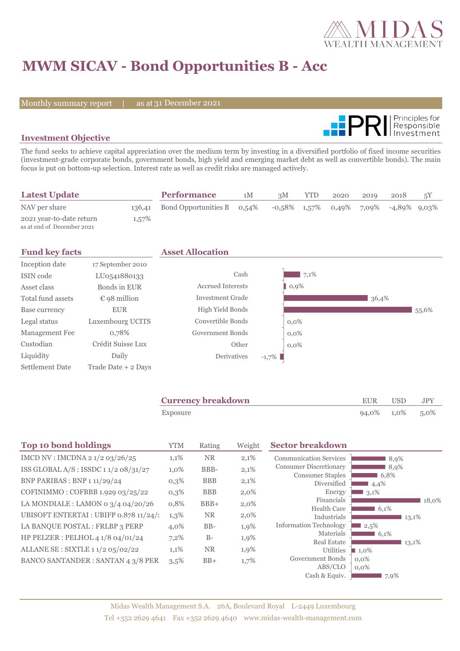

# **MWM SICAV - Bond Opportunities B - Acc**

Monthly summary report | as at 31 December 2021



### **Investment Objective**

The fund seeks to achieve capital appreciation over the medium term by investing in a diversified portfolio of fixed income securities (investment-grade corporate bonds, government bonds, high yield and emerging market debt as well as convertible bonds). The main focus is put on bottom-up selection. Interest rate as well as credit risks are managed actively.

| <b>Latest Update</b>                                   |        | <b>Performance</b>   | 1M    | 3M | <b>YTD</b> | 2020 | 2019 | 2018                                     | 5Y |
|--------------------------------------------------------|--------|----------------------|-------|----|------------|------|------|------------------------------------------|----|
| NAV per share                                          | 136,41 | Bond Opportunities B | 0.54% |    |            |      |      | $-0.58\%$ 1,57% 0,49% 7,09% -4,89% 9,03% |    |
| 2021 year-to-date return<br>as at end of December 2021 | 1,57%  |                      |       |    |            |      |      |                                          |    |

|                       | <b>Asset Allocation</b>  |          |          |       |       |
|-----------------------|--------------------------|----------|----------|-------|-------|
| 17 September 2010     |                          |          |          |       |       |
| LU0541880133          | Cash                     |          | 7,1%     |       |       |
| Bonds in EUR          | <b>Accrued Interests</b> |          | $ 0,9\%$ |       |       |
| $\epsilon$ 98 million | <b>Investment Grade</b>  |          |          | 36,4% |       |
| <b>EUR</b>            | High Yield Bonds         |          |          |       | 55,6% |
| Luxembourg UCITS      | Convertible Bonds        |          | $0.0\%$  |       |       |
| 0,78%                 | Government Bonds         |          | $0.0\%$  |       |       |
| Crédit Suisse Lux     | Other                    |          | $0.0\%$  |       |       |
| Daily                 | Derivatives              | $-1,7\%$ |          |       |       |
| Trade Date + 2 Days   |                          |          |          |       |       |
|                       |                          |          |          |       |       |

| <b>Currency breakdown</b> | EUR             | USD. | JPY |
|---------------------------|-----------------|------|-----|
| Exposure                  | 94,0% 1,0% 5,0% |      |     |

| <b>Top 10 bond holdings</b>                     | <b>YTM</b> | Rating     | Weight  | <b>Sector breakdown</b>                |                                |
|-------------------------------------------------|------------|------------|---------|----------------------------------------|--------------------------------|
| IMCD NV : IMCDNA $2\frac{1}{2}\frac{03}{26/25}$ | 1,1%       | <b>NR</b>  | 2,1%    | <b>Communication Services</b>          | 8,9%                           |
| ISS GLOBAL A/S : ISSDC $11/208/31/27$           | 1,0%       | BBB-       | 2,1%    | <b>Consumer Discretionary</b>          | 8,9%                           |
| <b>BNP PARIBAS : BNP 1 11/29/24</b>             | $0,3\%$    | <b>BBB</b> | 2,1%    | <b>Consumer Staples</b><br>Diversified | 6,8%<br>4,4%                   |
| COFINIMMO: COFBBB 1.929 03/25/22                | $0,3\%$    | <b>BBB</b> | $2,0\%$ | Energy                                 | 3,1%                           |
| LA MONDIALE : LAMON 0 $3/4$ 04/20/26            | 0,8%       | $BBB+$     | $2,0\%$ | Financials                             | 18,0%                          |
| UBISOFT ENTERTAI : UBIFP 0.878 11/24/1          | 1,3%       | <b>NR</b>  | $2,0\%$ | <b>Health Care</b><br>Industrials      | 6,1%<br>13,1%                  |
| LA BANQUE POSTAL : FRLBP 3 PERP                 | 4,0%       | $BB-$      | 1,9%    | <b>Information Technology</b>          | 2,5%                           |
| HP PELZER : PELHOL 4 1/8 04/01/24               | 7,2%       | $B-$       | 1,9%    | Materials                              | 16,1%                          |
| ALLANE SE : SIXTLE 1 1/2 05/02/22               | 1,1%       | <b>NR</b>  | 1,9%    | <b>Real Estate</b><br>Utilities        | 13,1%                          |
|                                                 |            |            |         | Government Bonds                       | $\blacksquare$ 1,0%<br>$0.0\%$ |
| <b>BANCO SANTANDER: SANTAN 4 3/8 PER</b>        | 3,5%       | $BB+$      | 1,7%    | ABS/CLO                                | $0.0\%$                        |
|                                                 |            |            |         | Cash & Equiv.                          | 7,9%                           |